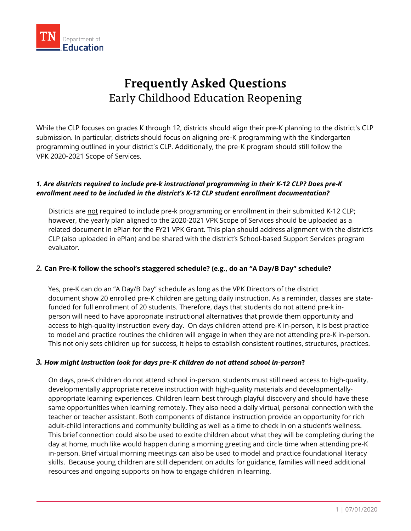

# **Frequently Asked Questions** Early Childhood Education Reopening

While the CLP focuses on grades K through 12, districts should align their pre-K planning to the district's CLP submission. In particular, districts should focus on aligning pre-K programming with the Kindergarten programming outlined in your district's CLP. Additionally, the pre-K program should still follow the VPK 2020-2021 Scope of Services.

### *1. Are districts required to include pre-k instructional programming in their K-12 CLP? Does pre-K enrollment need to be included in the district's K-12 CLP student enrollment documentation?*

Districts are not required to include pre-k programming or enrollment in their submitted K-12 CLP; however, the yearly plan aligned to the 2020-2021 VPK Scope of Services should be uploaded as a related document in ePlan for the FY21 VPK Grant. This plan should address alignment with the district's CLP (also uploaded in ePlan) and be shared with the district's School-based Support Services program evaluator.

## *2.* **Can Pre-K follow the school's staggered schedule? (e.g., do an "A Day/B Day" schedule?**

Yes, pre-K can do an "A Day/B Day" schedule as long as the VPK Directors of the district document show 20 enrolled pre-K children are getting daily instruction. As a reminder, classes are statefunded for full enrollment of 20 students. Therefore, days that students do not attend pre-k inperson will need to have appropriate instructional alternatives that provide them opportunity and access to high-quality instruction every day. On days children attend pre-K in-person, it is best practice to model and practice routines the children will engage in when they are not attending pre-K in-person. This not only sets children up for success, it helps to establish consistent routines, structures, practices.

#### *3. How might instruction look for days pre-K children do not attend school in-person***?**

On days, pre-K children do not attend school in-person, students must still need access to high-quality, developmentally appropriate receive instruction with high-quality materials and developmentallyappropriate learning experiences. Children learn best through playful discovery and should have these same opportunities when learning remotely. They also need a daily virtual, personal connection with the teacher or teacher assistant. Both components of distance instruction provide an opportunity for rich adult-child interactions and community building as well as a time to check in on a student's wellness. This brief connection could also be used to excite children about what they will be completing during the day at home, much like would happen during a morning greeting and circle time when attending pre-K in-person. Brief virtual morning meetings can also be used to model and practice foundational literacy skills. Because young children are still dependent on adults for guidance, families will need additional resources and ongoing supports on how to engage children in learning.